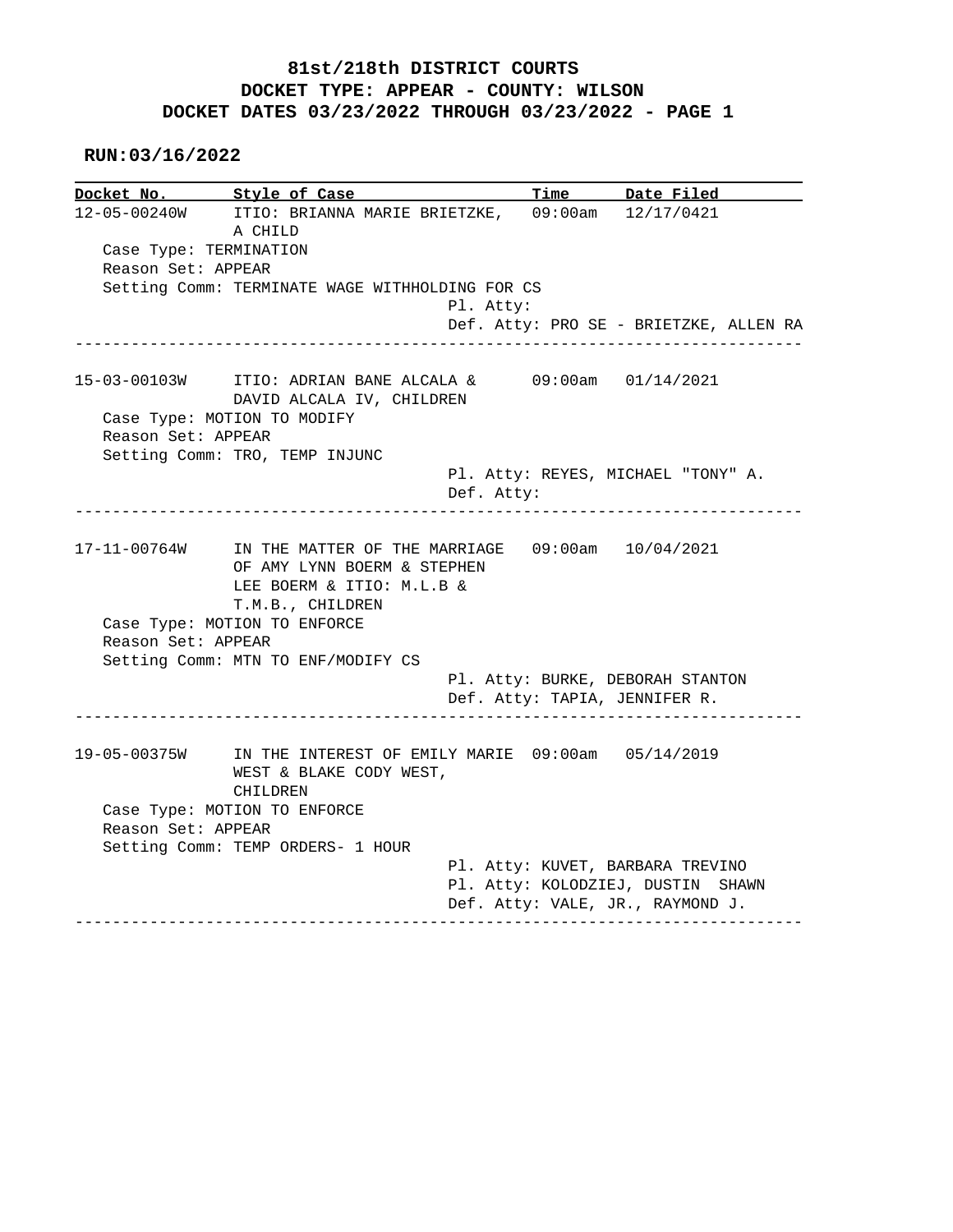# **81st/218th DISTRICT COURTS DOCKET TYPE: APPEAR - COUNTY: WILSON DOCKET DATES 03/23/2022 THROUGH 03/23/2022 - PAGE 1**

#### **RUN:03/16/2022**

|                    | Docket No. Style of Case                                                                                                  | Time Date Filed                                                   |
|--------------------|---------------------------------------------------------------------------------------------------------------------------|-------------------------------------------------------------------|
| 12-05-00240W       | ITIO: BRIANNA MARIE BRIETZKE,<br>A CHILD<br>Case Type: TERMINATION                                                        | 09:00am 12/17/0421                                                |
| Reason Set: APPEAR |                                                                                                                           |                                                                   |
|                    | Setting Comm: TERMINATE WAGE WITHHOLDING FOR CS                                                                           |                                                                   |
|                    | Pl. Atty:                                                                                                                 | Def. Atty: PRO SE - BRIETZKE, ALLEN RA                            |
|                    |                                                                                                                           |                                                                   |
| 15-03-00103W       | ITIO: ADRIAN BANE ALCALA $\&$ 09:00am 01/14/2021<br>DAVID ALCALA IV, CHILDREN                                             |                                                                   |
|                    | Case Type: MOTION TO MODIFY                                                                                               |                                                                   |
| Reason Set: APPEAR |                                                                                                                           |                                                                   |
|                    | Setting Comm: TRO, TEMP INJUNC                                                                                            | Pl. Atty: REYES, MICHAEL "TONY" A.                                |
|                    | Def. Atty:                                                                                                                |                                                                   |
|                    | 17-11-00764W IN THE MATTER OF THE MARRIAGE 09:00am 10/04/2021<br>OF AMY LYNN BOERM & STEPHEN<br>LEE BOERM & ITIO: M.L.B & |                                                                   |
| Reason Set: APPEAR | T.M.B., CHILDREN<br>Case Type: MOTION TO ENFORCE<br>Setting Comm: MTN TO ENF/MODIFY CS                                    |                                                                   |
|                    |                                                                                                                           | Pl. Atty: BURKE, DEBORAH STANTON<br>Def. Atty: TAPIA, JENNIFER R. |
| 19-05-00375W       | IN THE INTEREST OF EMILY MARIE 09:00am 05/14/2019<br>WEST & BLAKE CODY WEST,<br>CHILDREN                                  |                                                                   |
| Reason Set: APPEAR | Case Type: MOTION TO ENFORCE                                                                                              |                                                                   |
|                    | Setting Comm: TEMP ORDERS- 1 HOUR                                                                                         |                                                                   |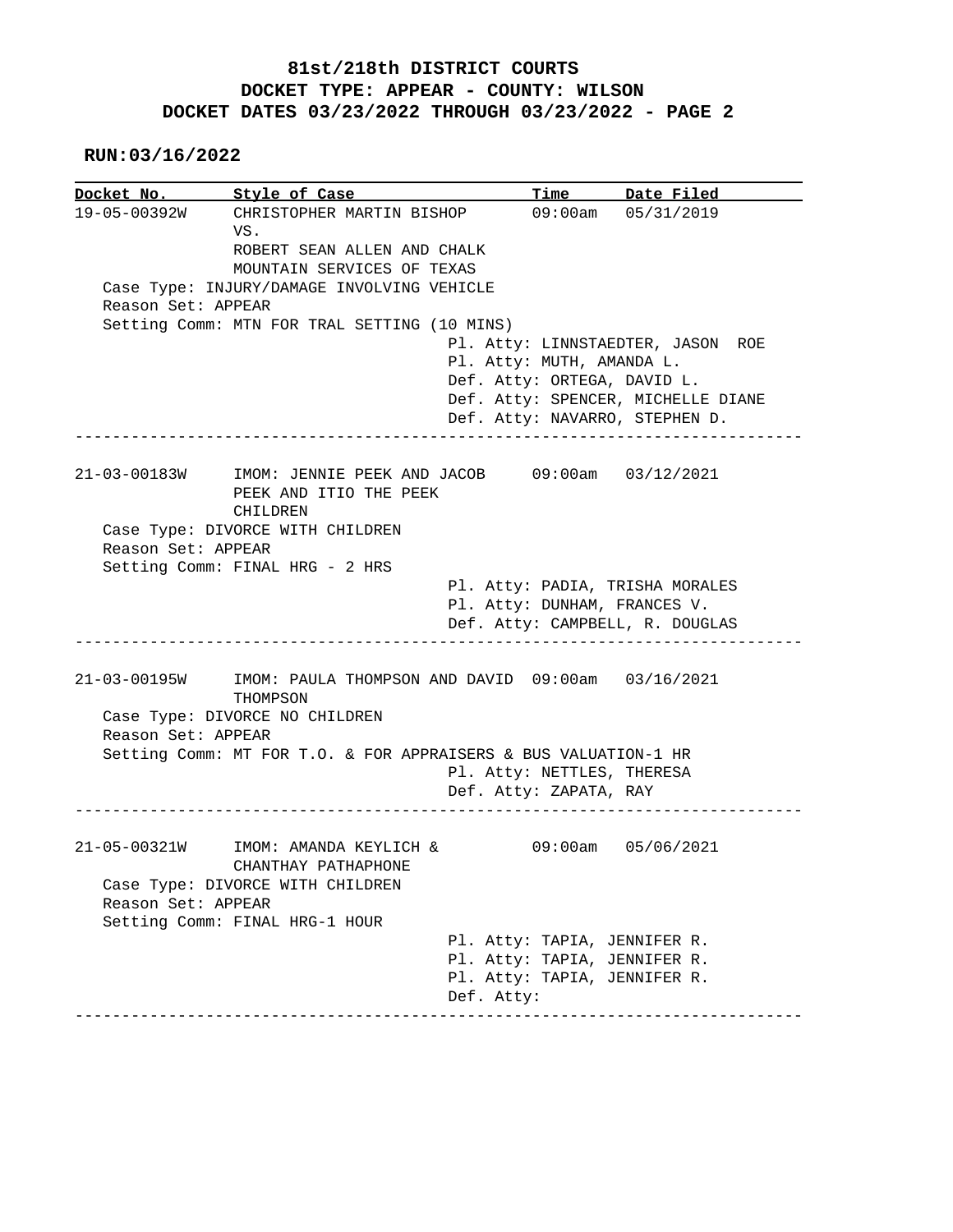# **81st/218th DISTRICT COURTS DOCKET TYPE: APPEAR - COUNTY: WILSON DOCKET DATES 03/23/2022 THROUGH 03/23/2022 - PAGE 2**

 **RUN:03/16/2022**

|                    | Docket No. Style of Case                                                                          |                                                              | Time Date Filed                    |
|--------------------|---------------------------------------------------------------------------------------------------|--------------------------------------------------------------|------------------------------------|
|                    | 19-05-00392W CHRISTOPHER MARTIN BISHOP<br>VS.<br>ROBERT SEAN ALLEN AND CHALK                      |                                                              | $09:00$ am $05/31/2019$            |
|                    | MOUNTAIN SERVICES OF TEXAS                                                                        |                                                              |                                    |
|                    | Case Type: INJURY/DAMAGE INVOLVING VEHICLE                                                        |                                                              |                                    |
| Reason Set: APPEAR |                                                                                                   |                                                              |                                    |
|                    | Setting Comm: MTN FOR TRAL SETTING (10 MINS)                                                      |                                                              | Pl. Atty: LINNSTAEDTER, JASON ROE  |
|                    |                                                                                                   | Pl. Atty: MUTH, AMANDA L.                                    |                                    |
|                    |                                                                                                   | Def. Atty: ORTEGA, DAVID L.                                  |                                    |
|                    |                                                                                                   |                                                              | Def. Atty: SPENCER, MICHELLE DIANE |
|                    |                                                                                                   |                                                              | Def. Atty: NAVARRO, STEPHEN D.     |
|                    |                                                                                                   | ---------------------------                                  |                                    |
|                    | 21-03-00183W IMOM: JENNIE PEEK AND JACOB 09:00am 03/12/2021<br>PEEK AND ITIO THE PEEK<br>CHILDREN |                                                              |                                    |
|                    | Case Type: DIVORCE WITH CHILDREN                                                                  |                                                              |                                    |
| Reason Set: APPEAR |                                                                                                   |                                                              |                                    |
|                    | Setting Comm: FINAL HRG - 2 HRS                                                                   |                                                              |                                    |
|                    |                                                                                                   |                                                              | Pl. Atty: PADIA, TRISHA MORALES    |
|                    |                                                                                                   |                                                              |                                    |
|                    |                                                                                                   | Pl. Atty: DUNHAM, FRANCES V.                                 |                                    |
|                    |                                                                                                   |                                                              | Def. Atty: CAMPBELL, R. DOUGLAS    |
| 21-03-00195W       | IMOM: PAULA THOMPSON AND DAVID 09:00am 03/16/2021                                                 |                                                              |                                    |
|                    | THOMPSON<br>Case Type: DIVORCE NO CHILDREN                                                        |                                                              |                                    |
| Reason Set: APPEAR |                                                                                                   |                                                              |                                    |
|                    | Setting Comm: MT FOR T.O. & FOR APPRAISERS & BUS VALUATION-1 HR                                   |                                                              |                                    |
|                    |                                                                                                   | Pl. Atty: NETTLES, THERESA                                   |                                    |
|                    |                                                                                                   | Def. Atty: ZAPATA, RAY                                       |                                    |
|                    |                                                                                                   |                                                              |                                    |
| 21-05-00321W       | IMOM: AMANDA KEYLICH &<br>CHANTHAY PATHAPHONE                                                     |                                                              | $09:00$ am $05/06/2021$            |
|                    | Case Type: DIVORCE WITH CHILDREN                                                                  |                                                              |                                    |
| Reason Set: APPEAR |                                                                                                   |                                                              |                                    |
|                    | Setting Comm: FINAL HRG-1 HOUR                                                                    |                                                              |                                    |
|                    |                                                                                                   | Pl. Atty: TAPIA, JENNIFER R.                                 |                                    |
|                    |                                                                                                   | Pl. Atty: TAPIA, JENNIFER R.<br>Pl. Atty: TAPIA, JENNIFER R. |                                    |